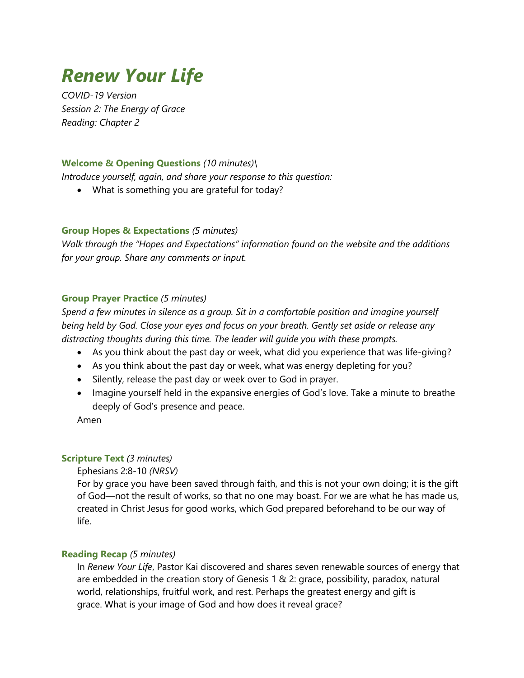# *Renew Your Life*

*COVID-19 Version Session 2: The Energy of Grace Reading: Chapter 2*

### **Welcome & Opening Questions** *(10 minutes)\*

*Introduce yourself, again, and share your response to this question:*

• What is something you are grateful for today?

#### **Group Hopes & Expectations** *(5 minutes)*

*Walk through the "Hopes and Expectations" information found on the website and the additions for your group. Share any comments or input.*

### **Group Prayer Practice** *(5 minutes)*

*Spend a few minutes in silence as a group. Sit in a comfortable position and imagine yourself being held by God. Close your eyes and focus on your breath. Gently set aside or release any distracting thoughts during this time. The leader will guide you with these prompts.*

- As you think about the past day or week, what did you experience that was life-giving?
- As you think about the past day or week, what was energy depleting for you?
- Silently, release the past day or week over to God in prayer.
- Imagine yourself held in the expansive energies of God's love. Take a minute to breathe deeply of God's presence and peace.

Amen

#### **Scripture Text** *(3 minutes)*

Ephesians 2:8-10 *(NRSV)*

For by grace you have been saved through faith, and this is not your own doing; it is the gift of God—not the result of works, so that no one may boast. For we are what he has made us, created in Christ Jesus for good works, which God prepared beforehand to be our way of life.

# **Reading Recap** *(5 minutes)*

In *Renew Your Life*, Pastor Kai discovered and shares seven renewable sources of energy that are embedded in the creation story of Genesis 1 & 2: grace, possibility, paradox, natural world, relationships, fruitful work, and rest. Perhaps the greatest energy and gift is grace. What is your image of God and how does it reveal grace?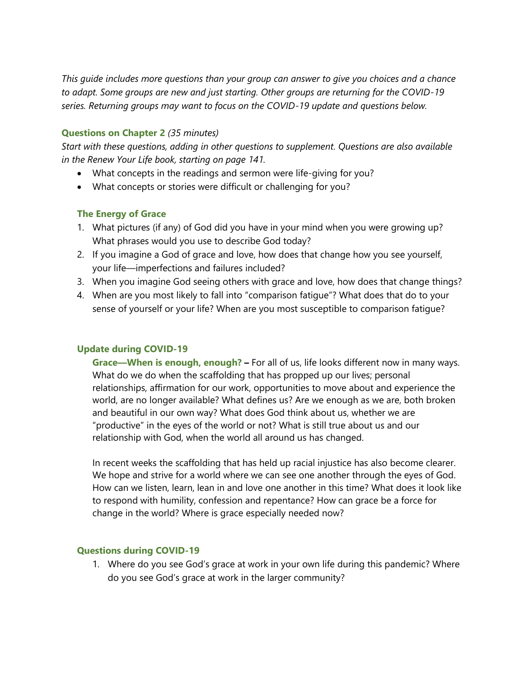*This guide includes more questions than your group can answer to give you choices and a chance to adapt. Some groups are new and just starting. Other groups are returning for the COVID-19 series. Returning groups may want to focus on the COVID-19 update and questions below.*

## **Questions on Chapter 2** *(35 minutes)*

*Start with these questions, adding in other questions to supplement. Questions are also available in the Renew Your Life book, starting on page 141.*

- What concepts in the readings and sermon were life-giving for you?
- What concepts or stories were difficult or challenging for you?

### **The Energy of Grace**

- 1. What pictures (if any) of God did you have in your mind when you were growing up? What phrases would you use to describe God today?
- 2. If you imagine a God of grace and love, how does that change how you see yourself, your life—imperfections and failures included?
- 3. When you imagine God seeing others with grace and love, how does that change things?
- 4. When are you most likely to fall into "comparison fatigue"? What does that do to your sense of yourself or your life? When are you most susceptible to comparison fatigue?

# **Update during COVID-19**

**Grace—When is enough, enough? –** For all of us, life looks different now in many ways. What do we do when the scaffolding that has propped up our lives; personal relationships, affirmation for our work, opportunities to move about and experience the world, are no longer available? What defines us? Are we enough as we are, both broken and beautiful in our own way? What does God think about us, whether we are "productive" in the eyes of the world or not? What is still true about us and our relationship with God, when the world all around us has changed.

In recent weeks the scaffolding that has held up racial injustice has also become clearer. We hope and strive for a world where we can see one another through the eyes of God. How can we listen, learn, lean in and love one another in this time? What does it look like to respond with humility, confession and repentance? How can grace be a force for change in the world? Where is grace especially needed now?

#### **Questions during COVID-19**

1. Where do you see God's grace at work in your own life during this pandemic? Where do you see God's grace at work in the larger community?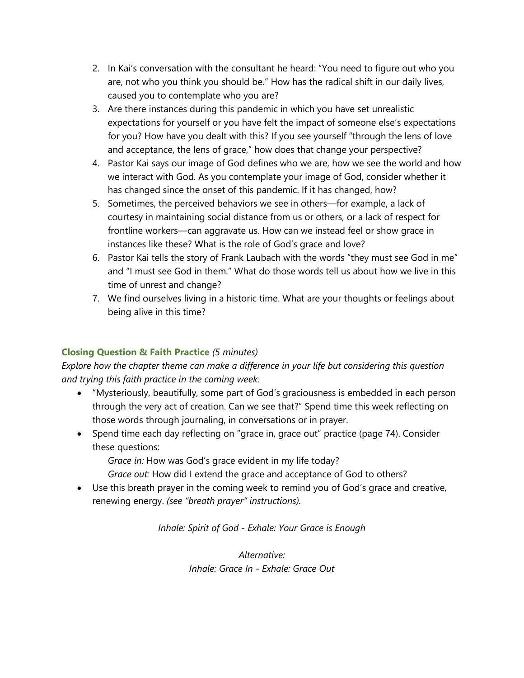- 2. In Kai's conversation with the consultant he heard: "You need to figure out who you are, not who you think you should be." How has the radical shift in our daily lives, caused you to contemplate who you are?
- 3. Are there instances during this pandemic in which you have set unrealistic expectations for yourself or you have felt the impact of someone else's expectations for you? How have you dealt with this? If you see yourself "through the lens of love and acceptance, the lens of grace," how does that change your perspective?
- 4. Pastor Kai says our image of God defines who we are, how we see the world and how we interact with God. As you contemplate your image of God, consider whether it has changed since the onset of this pandemic. If it has changed, how?
- 5. Sometimes, the perceived behaviors we see in others—for example, a lack of courtesy in maintaining social distance from us or others, or a lack of respect for frontline workers—can aggravate us. How can we instead feel or show grace in instances like these? What is the role of God's grace and love?
- 6. Pastor Kai tells the story of Frank Laubach with the words "they must see God in me" and "I must see God in them." What do those words tell us about how we live in this time of unrest and change?
- 7. We find ourselves living in a historic time. What are your thoughts or feelings about being alive in this time?

# **Closing Question & Faith Practice** *(5 minutes)*

*Explore how the chapter theme can make a difference in your life but considering this question and trying this faith practice in the coming week:*

- "Mysteriously, beautifully, some part of God's graciousness is embedded in each person through the very act of creation. Can we see that?" Spend time this week reflecting on those words through journaling, in conversations or in prayer.
- Spend time each day reflecting on "grace in, grace out" practice (page 74). Consider these questions:
	- *Grace in:* How was God's grace evident in my life today?
	- *Grace out:* How did I extend the grace and acceptance of God to others?
- Use this breath prayer in the coming week to remind you of God's grace and creative, renewing energy. *(see "breath prayer" instructions).*

*Inhale: Spirit of God - Exhale: Your Grace is Enough*

*Alternative: Inhale: Grace In - Exhale: Grace Out*